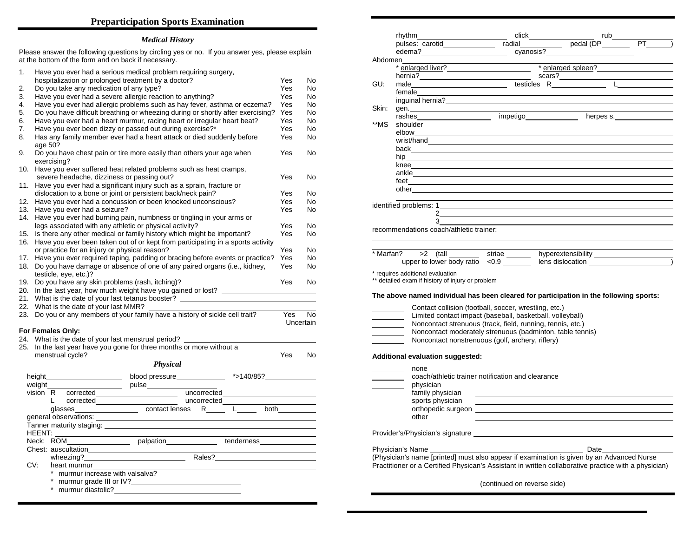## **Preparticipation Sports Examination**

## *Medical History*

Please answer the following questions by circling yes or no. If you answer yes, please explain at the bottom of the form and on back if necessary.

| 1.  |                                                                                                |  |                              | Have you ever had a serious medical problem requiring surgery,<br>hospitalization or prolonged treatment by a doctor?                                                                                                          | Yes                                            | No        |
|-----|------------------------------------------------------------------------------------------------|--|------------------------------|--------------------------------------------------------------------------------------------------------------------------------------------------------------------------------------------------------------------------------|------------------------------------------------|-----------|
| 2.  |                                                                                                |  |                              | Do you take any medication of any type?                                                                                                                                                                                        | Yes                                            | No        |
| 3.  | Have you ever had a severe allergic reaction to anything?                                      |  |                              |                                                                                                                                                                                                                                |                                                | No.       |
| 4.  | Have you ever had allergic problems such as hay fever, asthma or eczema?                       |  |                              |                                                                                                                                                                                                                                |                                                |           |
| 5.  | Do you have difficult breathing or wheezing during or shortly after exercising?                |  |                              |                                                                                                                                                                                                                                |                                                | No        |
| 6.  | Have you ever had a heart murmur, racing heart or irregular heart beat?                        |  |                              |                                                                                                                                                                                                                                |                                                |           |
| 7.  | Have you ever been dizzy or passed out during exercise?*                                       |  |                              |                                                                                                                                                                                                                                |                                                | No<br>No  |
| 8.  | Has any family member ever had a heart attack or died suddenly before                          |  |                              |                                                                                                                                                                                                                                |                                                |           |
|     |                                                                                                |  |                              |                                                                                                                                                                                                                                | Yes                                            | No        |
| 9.  | age 50?<br>Do you have chest pain or tire more easily than others your age when<br>exercising? |  |                              |                                                                                                                                                                                                                                |                                                |           |
|     |                                                                                                |  |                              | 10. Have you ever suffered heat related problems such as heat cramps,                                                                                                                                                          |                                                |           |
|     |                                                                                                |  |                              | severe headache, dizziness or passing out?                                                                                                                                                                                     | Yes                                            | No        |
| 11. |                                                                                                |  |                              | Have you ever had a significant injury such as a sprain, fracture or                                                                                                                                                           |                                                |           |
|     |                                                                                                |  |                              | dislocation to a bone or joint or persistent back/neck pain?                                                                                                                                                                   | Yes                                            | No        |
| 12. |                                                                                                |  |                              | Have you ever had a concussion or been knocked unconscious?                                                                                                                                                                    | Yes                                            | No        |
| 13. |                                                                                                |  |                              |                                                                                                                                                                                                                                | Yes                                            | No        |
|     |                                                                                                |  | Have you ever had a seizure? |                                                                                                                                                                                                                                |                                                |           |
|     |                                                                                                |  |                              | 14. Have you ever had burning pain, numbness or tingling in your arms or                                                                                                                                                       |                                                |           |
|     |                                                                                                |  |                              | legs associated with any athletic or physical activity?                                                                                                                                                                        | Yes                                            | No        |
| 15. |                                                                                                |  |                              | Is there any other medical or family history which might be important?                                                                                                                                                         | Yes                                            | No        |
| 16. |                                                                                                |  |                              | Have you ever been taken out of or kept from participating in a sports activity                                                                                                                                                |                                                |           |
|     |                                                                                                |  |                              | or practice for an injury or physical reason?                                                                                                                                                                                  | Yes                                            | No        |
| 17. |                                                                                                |  |                              | Have you ever required taping, padding or bracing before events or practice?                                                                                                                                                   | Yes                                            | No        |
| 18. |                                                                                                |  |                              | Do you have damage or absence of one of any paired organs (i.e., kidney,                                                                                                                                                       | Yes                                            | No        |
|     |                                                                                                |  | testicle, eye, etc.)?        |                                                                                                                                                                                                                                | Yes                                            |           |
|     | 19. Do you have any skin problems (rash, itching)?                                             |  |                              |                                                                                                                                                                                                                                |                                                |           |
|     |                                                                                                |  |                              | 20. In the last year, how much weight have you gained or lost?                                                                                                                                                                 |                                                |           |
|     |                                                                                                |  |                              | 21. What is the date of your last tetanus booster?                                                                                                                                                                             |                                                |           |
|     |                                                                                                |  |                              | 22. What is the date of your last MMR?                                                                                                                                                                                         |                                                |           |
|     |                                                                                                |  |                              | 23. Do you or any members of your family have a history of sickle cell trait?                                                                                                                                                  | Yes                                            | <b>No</b> |
|     |                                                                                                |  |                              |                                                                                                                                                                                                                                | Uncertain                                      |           |
|     |                                                                                                |  | For Females Only:            |                                                                                                                                                                                                                                |                                                |           |
|     |                                                                                                |  |                              | 24. What is the date of your last menstrual period?                                                                                                                                                                            |                                                |           |
|     |                                                                                                |  |                              | 25. In the last year have you gone for three months or more without a                                                                                                                                                          |                                                |           |
|     |                                                                                                |  | menstrual cycle?             |                                                                                                                                                                                                                                | <b>Yes</b>                                     | <b>No</b> |
|     |                                                                                                |  |                              | <b>Physical</b>                                                                                                                                                                                                                |                                                |           |
|     |                                                                                                |  |                              |                                                                                                                                                                                                                                |                                                |           |
|     |                                                                                                |  |                              | blood pressure________________ *>140/85?______________                                                                                                                                                                         |                                                |           |
|     |                                                                                                |  | weight                       | pulse_________                                                                                                                                                                                                                 |                                                |           |
|     |                                                                                                |  |                              | vision R corrected<br>L corrected uncorrected uncorrected<br>glasses contact lenses R L both                                                                                                                                   |                                                |           |
|     |                                                                                                |  |                              |                                                                                                                                                                                                                                |                                                |           |
|     |                                                                                                |  |                              |                                                                                                                                                                                                                                |                                                |           |
|     |                                                                                                |  | general observations:        |                                                                                                                                                                                                                                |                                                |           |
|     |                                                                                                |  |                              | Tanner maturity staging: Letter and the contract of the contract of the contract of the contract of the contract of the contract of the contract of the contract of the contract of the contract of the contract of the contra |                                                |           |
|     |                                                                                                |  |                              |                                                                                                                                                                                                                                |                                                |           |
|     |                                                                                                |  |                              |                                                                                                                                                                                                                                | <u> 1989 - Johann Barnett, fransk kongresu</u> |           |
|     |                                                                                                |  |                              |                                                                                                                                                                                                                                |                                                |           |
|     |                                                                                                |  |                              | wheezing?<br>Males? Males? Males? Males? Males? Males? Males? Males? Males? Males? Males? Males? Males? Males? Males? Males? Males? Males? Males? Males? Males? Males? Males? Males? Males? Males? Males? Males? Males? Males? |                                                |           |
|     | CV:                                                                                            |  | heart murmur                 |                                                                                                                                                                                                                                |                                                |           |
|     |                                                                                                |  |                              |                                                                                                                                                                                                                                |                                                |           |
|     |                                                                                                |  |                              |                                                                                                                                                                                                                                |                                                |           |
|     |                                                                                                |  |                              | * murmur grade III or IV?                                                                                                                                                                                                      |                                                |           |
|     |                                                                                                |  |                              | * murmur diastolic? The contract of the contract of the contract of the contract of the contract of the contract of the contract of the contract of the contract of the contract of the contract of the contract of the contra |                                                |           |

|       | Abdomen                                                                                             |                                                                                                                                                                                                                                                                                                                                                         |  |  |  |  |  |
|-------|-----------------------------------------------------------------------------------------------------|---------------------------------------------------------------------------------------------------------------------------------------------------------------------------------------------------------------------------------------------------------------------------------------------------------------------------------------------------------|--|--|--|--|--|
|       | * enlarged spleen?                                                                                  |                                                                                                                                                                                                                                                                                                                                                         |  |  |  |  |  |
|       |                                                                                                     |                                                                                                                                                                                                                                                                                                                                                         |  |  |  |  |  |
| GU:   |                                                                                                     |                                                                                                                                                                                                                                                                                                                                                         |  |  |  |  |  |
|       |                                                                                                     |                                                                                                                                                                                                                                                                                                                                                         |  |  |  |  |  |
|       |                                                                                                     | inguinal hernia?<br>expansion of the contract of the contract of the contract of the contract of the contract of the contract of the contract of the contract of the contract of the contract of the contract of the contract of                                                                                                                        |  |  |  |  |  |
| Skin: | gen. $\qquad \qquad$                                                                                |                                                                                                                                                                                                                                                                                                                                                         |  |  |  |  |  |
|       |                                                                                                     | rashes impetigo herpes s.                                                                                                                                                                                                                                                                                                                               |  |  |  |  |  |
| **MS  | shoulder and the shoulder                                                                           |                                                                                                                                                                                                                                                                                                                                                         |  |  |  |  |  |
|       |                                                                                                     |                                                                                                                                                                                                                                                                                                                                                         |  |  |  |  |  |
|       |                                                                                                     |                                                                                                                                                                                                                                                                                                                                                         |  |  |  |  |  |
|       |                                                                                                     |                                                                                                                                                                                                                                                                                                                                                         |  |  |  |  |  |
|       |                                                                                                     |                                                                                                                                                                                                                                                                                                                                                         |  |  |  |  |  |
|       |                                                                                                     |                                                                                                                                                                                                                                                                                                                                                         |  |  |  |  |  |
|       |                                                                                                     |                                                                                                                                                                                                                                                                                                                                                         |  |  |  |  |  |
|       |                                                                                                     |                                                                                                                                                                                                                                                                                                                                                         |  |  |  |  |  |
|       |                                                                                                     |                                                                                                                                                                                                                                                                                                                                                         |  |  |  |  |  |
|       |                                                                                                     |                                                                                                                                                                                                                                                                                                                                                         |  |  |  |  |  |
|       |                                                                                                     |                                                                                                                                                                                                                                                                                                                                                         |  |  |  |  |  |
|       | $3 \sim$                                                                                            |                                                                                                                                                                                                                                                                                                                                                         |  |  |  |  |  |
|       |                                                                                                     |                                                                                                                                                                                                                                                                                                                                                         |  |  |  |  |  |
|       |                                                                                                     |                                                                                                                                                                                                                                                                                                                                                         |  |  |  |  |  |
|       | ** detailed exam if history of injury or problem<br><u> 1980 - Jan Barton, amerikansk politiker</u> | The above named individual has been cleared for participation in the following sports:<br>Contact collision (football, soccer, wrestling, etc.)<br>Limited contact impact (baseball, basketball, volleyball)<br>Noncontact strenuous (track, field, running, tennis, etc.)                                                                              |  |  |  |  |  |
|       |                                                                                                     | Noncontact moderately strenuous (badminton, table tennis)<br>Noncontact nonstrenuous (golf, archery, riflery)                                                                                                                                                                                                                                           |  |  |  |  |  |
|       | Additional evaluation suggested:<br>none                                                            |                                                                                                                                                                                                                                                                                                                                                         |  |  |  |  |  |
|       | <u> 1980 - Jan Barnett, francuski politik (</u><br>physician<br>family physician                    | coach/athletic trainer notification and clearance                                                                                                                                                                                                                                                                                                       |  |  |  |  |  |
|       | sports physician<br>other                                                                           | <u> 1980 - Johann Barn, mars ann an t-Amhain Aonaich ann an t-Aonaich ann an t-Aonaich ann an t-Aonaich ann an t-</u><br>orthopedic surgeon entrance and the control of the control of the control of the control of the control of the control of the control of the control of the control of the control of the control of the control of the contro |  |  |  |  |  |
|       |                                                                                                     |                                                                                                                                                                                                                                                                                                                                                         |  |  |  |  |  |
|       |                                                                                                     |                                                                                                                                                                                                                                                                                                                                                         |  |  |  |  |  |
|       |                                                                                                     | (Physician's name <i>[printed]</i> must also appear if examination is given by an Advanced Nurse<br>Practitioner or a Certified Physican's Assistant in written collaborative practice with a physician)                                                                                                                                                |  |  |  |  |  |
|       |                                                                                                     | (continued on reverse side)                                                                                                                                                                                                                                                                                                                             |  |  |  |  |  |